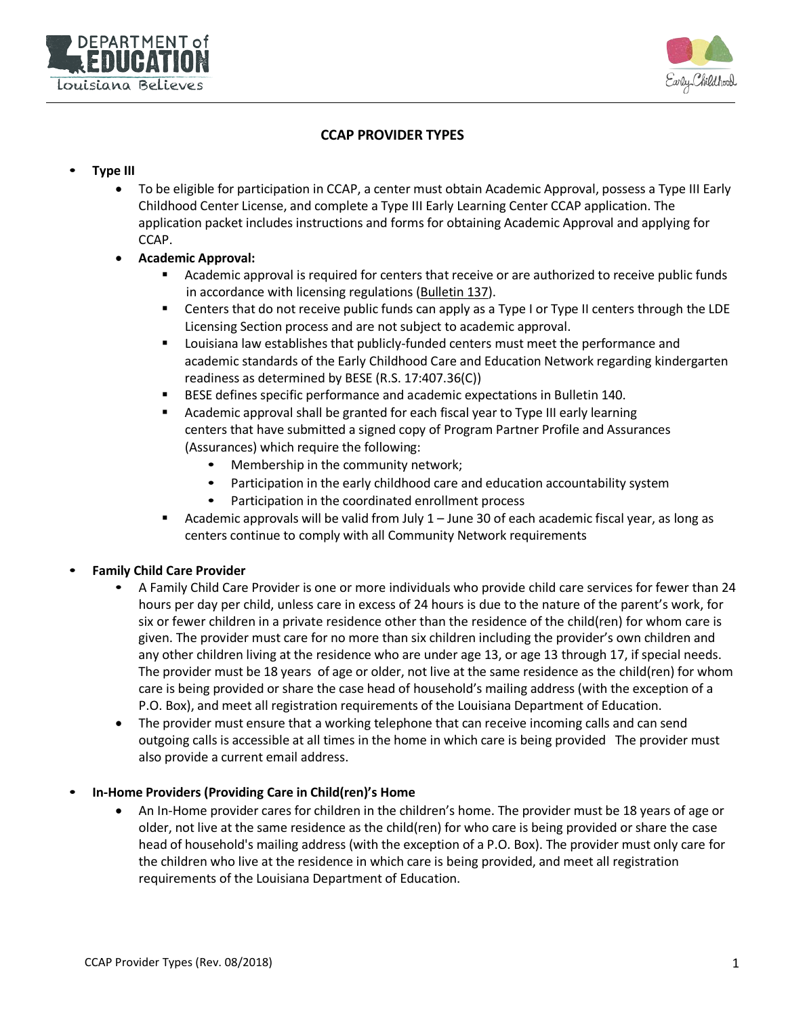



# **CCAP PROVIDER TYPES**

### • **Type III**

- To be eligible for participation in CCAP, a center must obtain Academic Approval, possess a Type III Early Childhood Center License, and complete a Type III Early Learning Center CCAP application. The application packet includes instructions and forms for obtaining Academic Approval and applying for CCAP.
- **Academic Approval:**
	- **EXECT Academic approval is required for centers that receive or are authorized to receive public funds** in accordance with licensing regulations (Bulletin 137).
	- **EXECT 1** Centers that do not receive public funds can apply as a Type I or Type II centers through the LDE Licensing Section process and are not subject to academic approval.
	- **Louisiana law establishes that publicly-funded centers must meet the performance and** academic standards of the Early Childhood Care and Education Network regarding kindergarten readiness as determined by BESE (R.S. 17:407.36(C))
	- **BESE defines specific performance and academic expectations in Bulletin 140.**
	- Academic approval shall be granted for each fiscal year to Type III early learning centers that have submitted a signed copy of Program Partner Profile and Assurances (Assurances) which require the following:
		- Membership in the community network;
		- Participation in the early childhood care and education accountability system
		- Participation in the coordinated enrollment process
	- **Academic approvals will be valid from July**  $1 -$  **June 30 of each academic fiscal year, as long as** centers continue to comply with all Community Network requirements

#### • **Family Child Care Provider**

- A Family Child Care Provider is one or more individuals who provide child care services for fewer than 24 hours per day per child, unless care in excess of 24 hours is due to the nature of the parent's work, for six or fewer children in a private residence other than the residence of the child(ren) for whom care is given. The provider must care for no more than six children including the provider's own children and any other children living at the residence who are under age 13, or age 13 through 17, if special needs. The provider must be 18 years of age or older, not live at the same residence as the child(ren) for whom care is being provided or share the case head of household's mailing address (with the exception of a P.O. Box), and meet all registration requirements of the Louisiana Department of Education.
- The provider must ensure that a working telephone that can receive incoming calls and can send outgoing calls is accessible at all times in the home in which care is being provided The provider must also provide a current email address.

#### • **In-Home Providers (Providing Care in Child(ren)'s Home**

• An In-Home provider cares for children in the children's home. The provider must be 18 years of age or older, not live at the same residence as the child(ren) for who care is being provided or share the case head of household's mailing address (with the exception of a P.O. Box). The provider must only care for the children who live at the residence in which care is being provided, and meet all registration requirements of the Louisiana Department of Education.